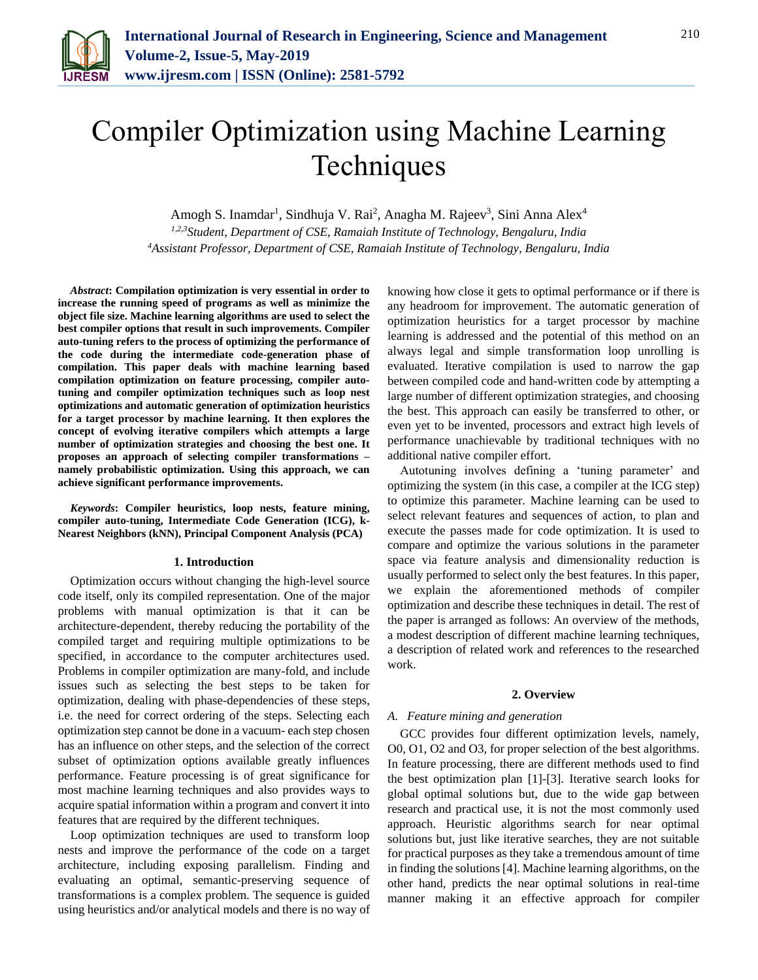

# Compiler Optimization using Machine Learning **Techniques**

Amogh S. Inamdar<sup>1</sup>, Sindhuja V. Rai<sup>2</sup>, Anagha M. Rajeev<sup>3</sup>, Sini Anna Alex<sup>4</sup>

*1,2,3Student, Department of CSE, Ramaiah Institute of Technology, Bengaluru, India 4Assistant Professor, Department of CSE, Ramaiah Institute of Technology, Bengaluru, India*

*Abstract***: Compilation optimization is very essential in order to increase the running speed of programs as well as minimize the object file size. Machine learning algorithms are used to select the best compiler options that result in such improvements. Compiler auto-tuning refers to the process of optimizing the performance of the code during the intermediate code-generation phase of compilation. This paper deals with machine learning based compilation optimization on feature processing, compiler autotuning and compiler optimization techniques such as loop nest optimizations and automatic generation of optimization heuristics for a target processor by machine learning. It then explores the concept of evolving iterative compilers which attempts a large number of optimization strategies and choosing the best one. It proposes an approach of selecting compiler transformations – namely probabilistic optimization. Using this approach, we can achieve significant performance improvements.** 

*Keywords***: Compiler heuristics, loop nests, feature mining, compiler auto-tuning, Intermediate Code Generation (ICG), k-Nearest Neighbors (kNN), Principal Component Analysis (PCA)**

#### **1. Introduction**

Optimization occurs without changing the high-level source code itself, only its compiled representation. One of the major problems with manual optimization is that it can be architecture-dependent, thereby reducing the portability of the compiled target and requiring multiple optimizations to be specified, in accordance to the computer architectures used. Problems in compiler optimization are many-fold, and include issues such as selecting the best steps to be taken for optimization, dealing with phase-dependencies of these steps, i.e. the need for correct ordering of the steps. Selecting each optimization step cannot be done in a vacuum- each step chosen has an influence on other steps, and the selection of the correct subset of optimization options available greatly influences performance. Feature processing is of great significance for most machine learning techniques and also provides ways to acquire spatial information within a program and convert it into features that are required by the different techniques.

Loop optimization techniques are used to transform loop nests and improve the performance of the code on a target architecture, including exposing parallelism. Finding and evaluating an optimal, semantic-preserving sequence of transformations is a complex problem. The sequence is guided using heuristics and/or analytical models and there is no way of

knowing how close it gets to optimal performance or if there is any headroom for improvement. The automatic generation of optimization heuristics for a target processor by machine learning is addressed and the potential of this method on an always legal and simple transformation loop unrolling is evaluated. Iterative compilation is used to narrow the gap between compiled code and hand-written code by attempting a large number of different optimization strategies, and choosing the best. This approach can easily be transferred to other, or even yet to be invented, processors and extract high levels of performance unachievable by traditional techniques with no additional native compiler effort.

Autotuning involves defining a 'tuning parameter' and optimizing the system (in this case, a compiler at the ICG step) to optimize this parameter. Machine learning can be used to select relevant features and sequences of action, to plan and execute the passes made for code optimization. It is used to compare and optimize the various solutions in the parameter space via feature analysis and dimensionality reduction is usually performed to select only the best features. In this paper, we explain the aforementioned methods of compiler optimization and describe these techniques in detail. The rest of the paper is arranged as follows: An overview of the methods, a modest description of different machine learning techniques, a description of related work and references to the researched work.

#### **2. Overview**

## *A. Feature mining and generation*

GCC provides four different optimization levels, namely, O0, O1, O2 and O3, for proper selection of the best algorithms. In feature processing, there are different methods used to find the best optimization plan [1]-[3]. Iterative search looks for global optimal solutions but, due to the wide gap between research and practical use, it is not the most commonly used approach. Heuristic algorithms search for near optimal solutions but, just like iterative searches, they are not suitable for practical purposes as they take a tremendous amount of time in finding the solutions [4]. Machine learning algorithms, on the other hand, predicts the near optimal solutions in real-time manner making it an effective approach for compiler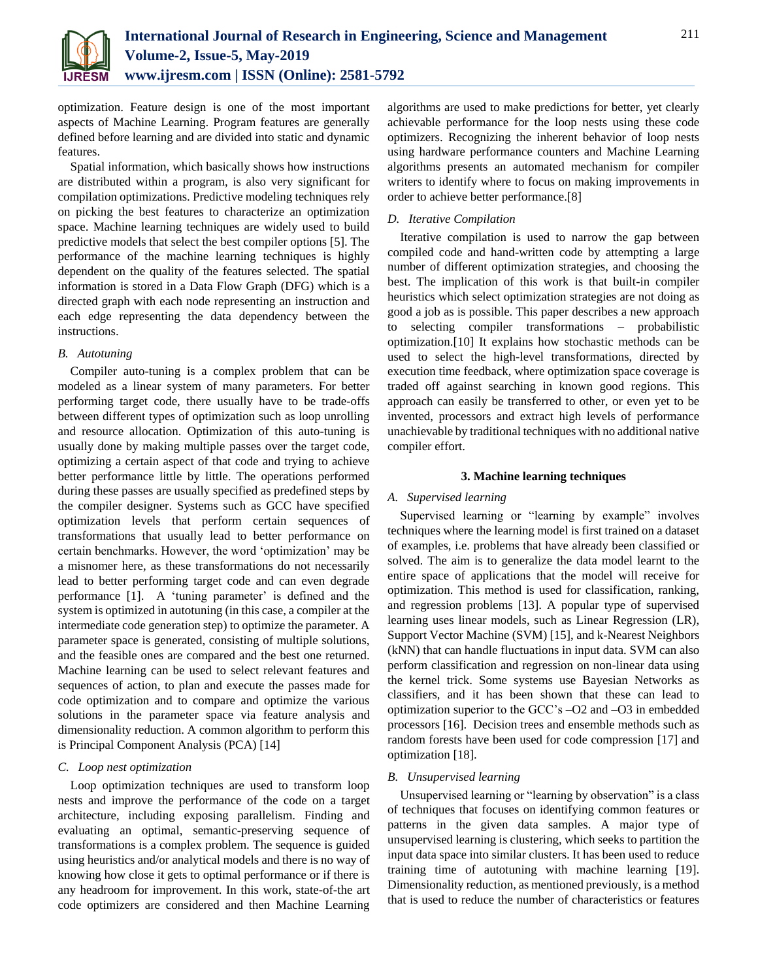

optimization. Feature design is one of the most important aspects of Machine Learning. Program features are generally defined before learning and are divided into static and dynamic features.

Spatial information, which basically shows how instructions are distributed within a program, is also very significant for compilation optimizations. Predictive modeling techniques rely on picking the best features to characterize an optimization space. Machine learning techniques are widely used to build predictive models that select the best compiler options [5]. The performance of the machine learning techniques is highly dependent on the quality of the features selected. The spatial information is stored in a Data Flow Graph (DFG) which is a directed graph with each node representing an instruction and each edge representing the data dependency between the instructions.

#### *B. Autotuning*

Compiler auto-tuning is a complex problem that can be modeled as a linear system of many parameters. For better performing target code, there usually have to be trade-offs between different types of optimization such as loop unrolling and resource allocation. Optimization of this auto-tuning is usually done by making multiple passes over the target code, optimizing a certain aspect of that code and trying to achieve better performance little by little. The operations performed during these passes are usually specified as predefined steps by the compiler designer. Systems such as GCC have specified optimization levels that perform certain sequences of transformations that usually lead to better performance on certain benchmarks. However, the word 'optimization' may be a misnomer here, as these transformations do not necessarily lead to better performing target code and can even degrade performance [1]. A 'tuning parameter' is defined and the system is optimized in autotuning (in this case, a compiler at the intermediate code generation step) to optimize the parameter. A parameter space is generated, consisting of multiple solutions, and the feasible ones are compared and the best one returned. Machine learning can be used to select relevant features and sequences of action, to plan and execute the passes made for code optimization and to compare and optimize the various solutions in the parameter space via feature analysis and dimensionality reduction. A common algorithm to perform this is Principal Component Analysis (PCA) [14]

#### *C. Loop nest optimization*

Loop optimization techniques are used to transform loop nests and improve the performance of the code on a target architecture, including exposing parallelism. Finding and evaluating an optimal, semantic-preserving sequence of transformations is a complex problem. The sequence is guided using heuristics and/or analytical models and there is no way of knowing how close it gets to optimal performance or if there is any headroom for improvement. In this work, state-of-the art code optimizers are considered and then Machine Learning

algorithms are used to make predictions for better, yet clearly achievable performance for the loop nests using these code optimizers. Recognizing the inherent behavior of loop nests using hardware performance counters and Machine Learning algorithms presents an automated mechanism for compiler writers to identify where to focus on making improvements in order to achieve better performance.[8]

## *D. Iterative Compilation*

Iterative compilation is used to narrow the gap between compiled code and hand-written code by attempting a large number of different optimization strategies, and choosing the best. The implication of this work is that built-in compiler heuristics which select optimization strategies are not doing as good a job as is possible. This paper describes a new approach to selecting compiler transformations – probabilistic optimization.[10] It explains how stochastic methods can be used to select the high-level transformations, directed by execution time feedback, where optimization space coverage is traded off against searching in known good regions. This approach can easily be transferred to other, or even yet to be invented, processors and extract high levels of performance unachievable by traditional techniques with no additional native compiler effort.

#### **3. Machine learning techniques**

## *A. Supervised learning*

Supervised learning or "learning by example" involves techniques where the learning model is first trained on a dataset of examples, i.e. problems that have already been classified or solved. The aim is to generalize the data model learnt to the entire space of applications that the model will receive for optimization. This method is used for classification, ranking, and regression problems [13]. A popular type of supervised learning uses linear models, such as Linear Regression (LR), Support Vector Machine (SVM) [15], and k-Nearest Neighbors (kNN) that can handle fluctuations in input data. SVM can also perform classification and regression on non-linear data using the kernel trick. Some systems use Bayesian Networks as classifiers, and it has been shown that these can lead to optimization superior to the GCC's –O2 and –O3 in embedded processors [16]. Decision trees and ensemble methods such as random forests have been used for code compression [17] and optimization [18].

#### *B. Unsupervised learning*

Unsupervised learning or "learning by observation" is a class of techniques that focuses on identifying common features or patterns in the given data samples. A major type of unsupervised learning is clustering, which seeks to partition the input data space into similar clusters. It has been used to reduce training time of autotuning with machine learning [19]. Dimensionality reduction, as mentioned previously, is a method that is used to reduce the number of characteristics or features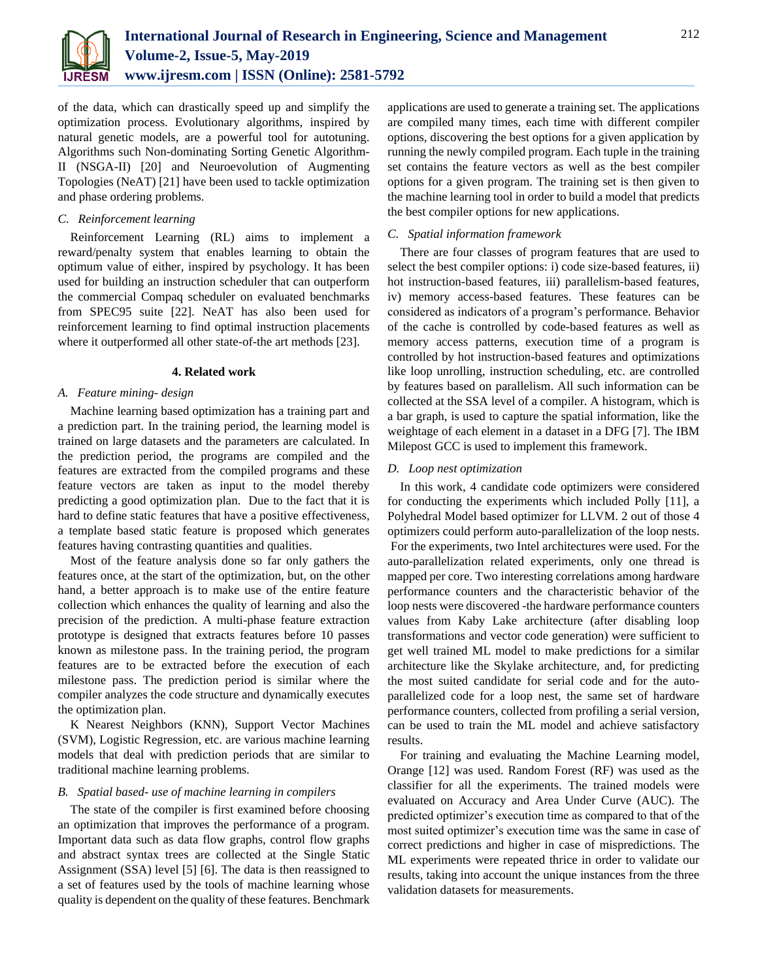

of the data, which can drastically speed up and simplify the optimization process. Evolutionary algorithms, inspired by natural genetic models, are a powerful tool for autotuning. Algorithms such Non-dominating Sorting Genetic Algorithm-II (NSGA-II) [20] and Neuroevolution of Augmenting Topologies (NeAT) [21] have been used to tackle optimization and phase ordering problems.

## *C. Reinforcement learning*

Reinforcement Learning (RL) aims to implement a reward/penalty system that enables learning to obtain the optimum value of either, inspired by psychology. It has been used for building an instruction scheduler that can outperform the commercial Compaq scheduler on evaluated benchmarks from SPEC95 suite [22]. NeAT has also been used for reinforcement learning to find optimal instruction placements where it outperformed all other state-of-the art methods [23].

## **4. Related work**

# *A. Feature mining- design*

Machine learning based optimization has a training part and a prediction part. In the training period, the learning model is trained on large datasets and the parameters are calculated. In the prediction period, the programs are compiled and the features are extracted from the compiled programs and these feature vectors are taken as input to the model thereby predicting a good optimization plan. Due to the fact that it is hard to define static features that have a positive effectiveness, a template based static feature is proposed which generates features having contrasting quantities and qualities.

Most of the feature analysis done so far only gathers the features once, at the start of the optimization, but, on the other hand, a better approach is to make use of the entire feature collection which enhances the quality of learning and also the precision of the prediction. A multi-phase feature extraction prototype is designed that extracts features before 10 passes known as milestone pass. In the training period, the program features are to be extracted before the execution of each milestone pass. The prediction period is similar where the compiler analyzes the code structure and dynamically executes the optimization plan.

K Nearest Neighbors (KNN), Support Vector Machines (SVM), Logistic Regression, etc. are various machine learning models that deal with prediction periods that are similar to traditional machine learning problems.

# *B. Spatial based- use of machine learning in compilers*

The state of the compiler is first examined before choosing an optimization that improves the performance of a program. Important data such as data flow graphs, control flow graphs and abstract syntax trees are collected at the Single Static Assignment (SSA) level [5] [6]. The data is then reassigned to a set of features used by the tools of machine learning whose quality is dependent on the quality of these features. Benchmark applications are used to generate a training set. The applications are compiled many times, each time with different compiler options, discovering the best options for a given application by running the newly compiled program. Each tuple in the training set contains the feature vectors as well as the best compiler options for a given program. The training set is then given to the machine learning tool in order to build a model that predicts the best compiler options for new applications.

## *C. Spatial information framework*

There are four classes of program features that are used to select the best compiler options: i) code size-based features, ii) hot instruction-based features, iii) parallelism-based features, iv) memory access-based features. These features can be considered as indicators of a program's performance. Behavior of the cache is controlled by code-based features as well as memory access patterns, execution time of a program is controlled by hot instruction-based features and optimizations like loop unrolling, instruction scheduling, etc. are controlled by features based on parallelism. All such information can be collected at the SSA level of a compiler. A histogram, which is a bar graph, is used to capture the spatial information, like the weightage of each element in a dataset in a DFG [7]. The IBM Milepost GCC is used to implement this framework.

# *D. Loop nest optimization*

In this work, 4 candidate code optimizers were considered for conducting the experiments which included Polly [11], a Polyhedral Model based optimizer for LLVM. 2 out of those 4 optimizers could perform auto-parallelization of the loop nests. For the experiments, two Intel architectures were used. For the auto-parallelization related experiments, only one thread is mapped per core. Two interesting correlations among hardware performance counters and the characteristic behavior of the loop nests were discovered -the hardware performance counters values from Kaby Lake architecture (after disabling loop transformations and vector code generation) were sufficient to get well trained ML model to make predictions for a similar architecture like the Skylake architecture, and, for predicting the most suited candidate for serial code and for the autoparallelized code for a loop nest, the same set of hardware performance counters, collected from profiling a serial version, can be used to train the ML model and achieve satisfactory results.

For training and evaluating the Machine Learning model, Orange [12] was used. Random Forest (RF) was used as the classifier for all the experiments. The trained models were evaluated on Accuracy and Area Under Curve (AUC). The predicted optimizer's execution time as compared to that of the most suited optimizer's execution time was the same in case of correct predictions and higher in case of mispredictions. The ML experiments were repeated thrice in order to validate our results, taking into account the unique instances from the three validation datasets for measurements.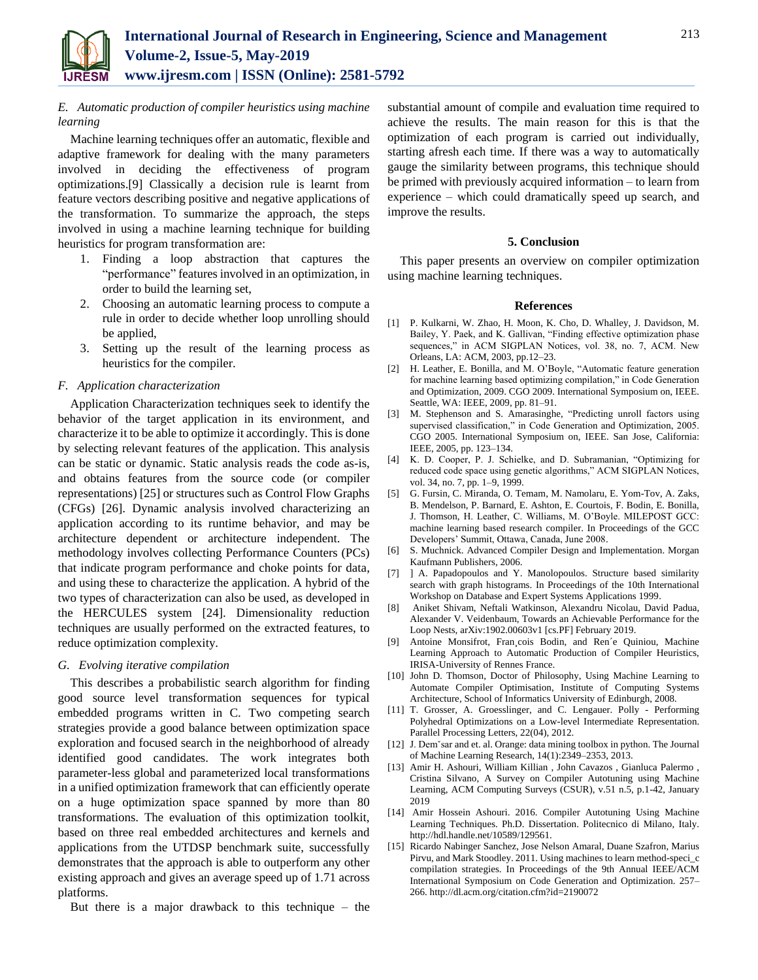# *E. Automatic production of compiler heuristics using machine learning*

Machine learning techniques offer an automatic, flexible and adaptive framework for dealing with the many parameters involved in deciding the effectiveness of program optimizations.[9] Classically a decision rule is learnt from feature vectors describing positive and negative applications of the transformation. To summarize the approach, the steps involved in using a machine learning technique for building heuristics for program transformation are:

- 1. Finding a loop abstraction that captures the "performance" features involved in an optimization, in order to build the learning set,
- 2. Choosing an automatic learning process to compute a rule in order to decide whether loop unrolling should be applied,
- 3. Setting up the result of the learning process as heuristics for the compiler.

# *F. Application characterization*

Application Characterization techniques seek to identify the behavior of the target application in its environment, and characterize it to be able to optimize it accordingly. This is done by selecting relevant features of the application. This analysis can be static or dynamic. Static analysis reads the code as-is, and obtains features from the source code (or compiler representations) [25] or structures such as Control Flow Graphs (CFGs) [26]. Dynamic analysis involved characterizing an application according to its runtime behavior, and may be architecture dependent or architecture independent. The methodology involves collecting Performance Counters (PCs) that indicate program performance and choke points for data, and using these to characterize the application. A hybrid of the two types of characterization can also be used, as developed in the HERCULES system [24]. Dimensionality reduction techniques are usually performed on the extracted features, to reduce optimization complexity.

## *G. Evolving iterative compilation*

This describes a probabilistic search algorithm for finding good source level transformation sequences for typical embedded programs written in C. Two competing search strategies provide a good balance between optimization space exploration and focused search in the neighborhood of already identified good candidates. The work integrates both parameter-less global and parameterized local transformations in a unified optimization framework that can efficiently operate on a huge optimization space spanned by more than 80 transformations. The evaluation of this optimization toolkit, based on three real embedded architectures and kernels and applications from the UTDSP benchmark suite, successfully demonstrates that the approach is able to outperform any other existing approach and gives an average speed up of 1.71 across platforms.

But there is a major drawback to this technique – the

substantial amount of compile and evaluation time required to achieve the results. The main reason for this is that the optimization of each program is carried out individually, starting afresh each time. If there was a way to automatically gauge the similarity between programs, this technique should be primed with previously acquired information – to learn from experience – which could dramatically speed up search, and improve the results.

#### **5. Conclusion**

This paper presents an overview on compiler optimization using machine learning techniques.

#### **References**

- [1] P. Kulkarni, W. Zhao, H. Moon, K. Cho, D. Whalley, J. Davidson, M. Bailey, Y. Paek, and K. Gallivan, "Finding effective optimization phase sequences," in ACM SIGPLAN Notices, vol. 38, no. 7, ACM. New Orleans, LA: ACM, 2003, pp.12–23.
- [2] H. Leather, E. Bonilla, and M. O'Boyle, "Automatic feature generation for machine learning based optimizing compilation," in Code Generation and Optimization, 2009. CGO 2009. International Symposium on, IEEE. Seattle, WA: IEEE, 2009, pp. 81-91.
- [3] M. Stephenson and S. Amarasinghe, "Predicting unroll factors using supervised classification," in Code Generation and Optimization, 2005. CGO 2005. International Symposium on, IEEE. San Jose, California: IEEE, 2005, pp. 123–134.
- [4] K. D. Cooper, P. J. Schielke, and D. Subramanian, "Optimizing for reduced code space using genetic algorithms," ACM SIGPLAN Notices, vol. 34, no. 7, pp. 1-9, 1999.
- [5] G. Fursin, C. Miranda, O. Temam, M. Namolaru, E. Yom-Tov, A. Zaks, B. Mendelson, P. Barnard, E. Ashton, E. Courtois, F. Bodin, E. Bonilla, J. Thomson, H. Leather, C. Williams, M. O'Boyle. MILEPOST GCC: machine learning based research compiler. In Proceedings of the GCC Developers' Summit, Ottawa, Canada, June 2008.
- [6] S. Muchnick. Advanced Compiler Design and Implementation. Morgan Kaufmann Publishers, 2006.
- [7] ] A. Papadopoulos and Y. Manolopoulos. Structure based similarity search with graph histograms. In Proceedings of the 10th International Workshop on Database and Expert Systems Applications 1999.
- [8] Aniket Shivam, Neftali Watkinson, Alexandru Nicolau, David Padua, Alexander V. Veidenbaum, Towards an Achievable Performance for the Loop Nests, arXiv:1902.00603v1 [cs.PF] February 2019.
- [9] Antoine Monsifrot, Fran¸cois Bodin, and Ren´e Quiniou, Machine Learning Approach to Automatic Production of Compiler Heuristics, IRISA-University of Rennes France.
- [10] John D. Thomson, Doctor of Philosophy, Using Machine Learning to Automate Compiler Optimisation, Institute of Computing Systems Architecture, School of Informatics University of Edinburgh, 2008.
- [11] T. Grosser, A. Groesslinger, and C. Lengauer. Polly Performing Polyhedral Optimizations on a Low-level Intermediate Representation. Parallel Processing Letters, 22(04), 2012.
- [12] J. Dem`sar and et. al. Orange: data mining toolbox in python. The Journal of Machine Learning Research, 14(1):2349–2353, 2013.
- [13] Amir H. Ashouri, William Killian , John Cavazos , Gianluca Palermo , Cristina Silvano, A Survey on Compiler Autotuning using Machine Learning, ACM Computing Surveys (CSUR), v.51 n.5, p.1-42, January 2019
- [14] Amir Hossein Ashouri. 2016. Compiler Autotuning Using Machine Learning Techniques. Ph.D. Dissertation. Politecnico di Milano, Italy. http://hdl.handle.net/10589/129561.
- [15] Ricardo Nabinger Sanchez, Jose Nelson Amaral, Duane Szafron, Marius Pirvu, and Mark Stoodley. 2011. Using machines to learn method-speci\_c compilation strategies. In Proceedings of the 9th Annual IEEE/ACM International Symposium on Code Generation and Optimization. 257– 266. http://dl.acm.org/citation.cfm?id=2190072